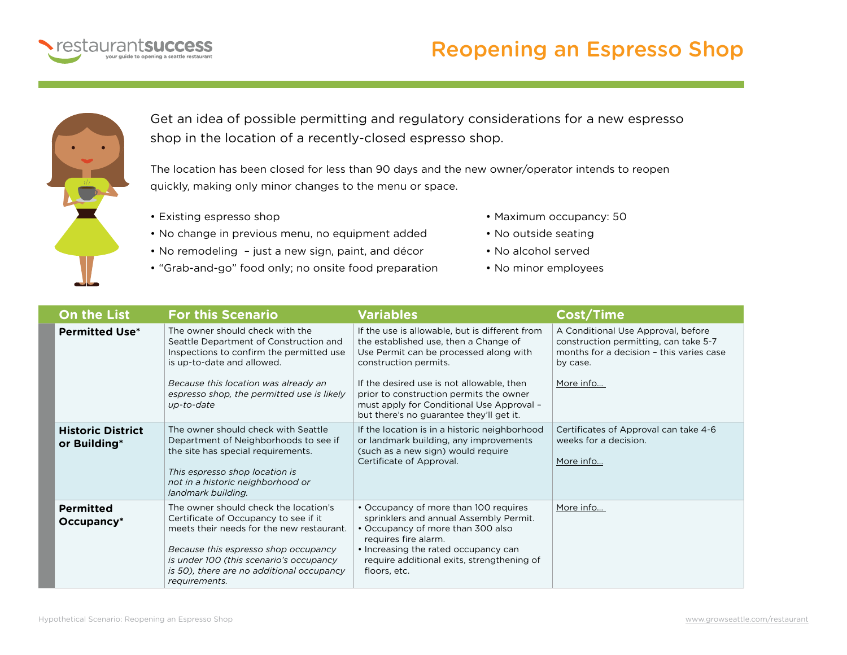

## Reopening an Espresso Shop



Get an idea of possible permitting and regulatory considerations for a new espresso shop in the location of a recently-closed espresso shop.

The location has been closed for less than 90 days and the new owner/operator intends to reopen quickly, making only minor changes to the menu or space.

- Existing espresso shop
- No change in previous menu, no equipment added
- No remodeling just a new sign, paint, and décor
- "Grab-and-go" food only; no onsite food preparation
- Maximum occupancy: 50
- No outside seating
- No alcohol served
- No minor employees

| <b>On the List</b>                       | <b>For this Scenario</b>                                                                                                                                                                                                                                                     | <b>Variables</b>                                                                                                                                                                                                                                                                                                                            | Cost/Time                                                                                                                                        |
|------------------------------------------|------------------------------------------------------------------------------------------------------------------------------------------------------------------------------------------------------------------------------------------------------------------------------|---------------------------------------------------------------------------------------------------------------------------------------------------------------------------------------------------------------------------------------------------------------------------------------------------------------------------------------------|--------------------------------------------------------------------------------------------------------------------------------------------------|
| <b>Permitted Use*</b>                    | The owner should check with the<br>Seattle Department of Construction and<br>Inspections to confirm the permitted use<br>is up-to-date and allowed.<br>Because this location was already an<br>espresso shop, the permitted use is likely<br>up-to-date                      | If the use is allowable, but is different from<br>the established use, then a Change of<br>Use Permit can be processed along with<br>construction permits.<br>If the desired use is not allowable, then<br>prior to construction permits the owner<br>must apply for Conditional Use Approval -<br>but there's no guarantee they'll get it. | A Conditional Use Approval, before<br>construction permitting, can take 5-7<br>months for a decision - this varies case<br>by case.<br>More info |
| <b>Historic District</b><br>or Building* | The owner should check with Seattle<br>Department of Neighborhoods to see if<br>the site has special requirements.<br>This espresso shop location is<br>not in a historic neighborhood or<br>landmark building.                                                              | If the location is in a historic neighborhood<br>or landmark building, any improvements<br>(such as a new sign) would require<br>Certificate of Approval.                                                                                                                                                                                   | Certificates of Approval can take 4-6<br>weeks for a decision.<br>More info                                                                      |
| <b>Permitted</b><br>$Occupancy*$         | The owner should check the location's<br>Certificate of Occupancy to see if it<br>meets their needs for the new restaurant.<br>Because this espresso shop occupancy<br>is under 100 (this scenario's occupancy<br>is 50), there are no additional occupancy<br>requirements. | • Occupancy of more than 100 requires<br>sprinklers and annual Assembly Permit.<br>• Occupancy of more than 300 also<br>requires fire alarm.<br>• Increasing the rated occupancy can<br>require additional exits, strengthening of<br>floors, etc.                                                                                          | More info                                                                                                                                        |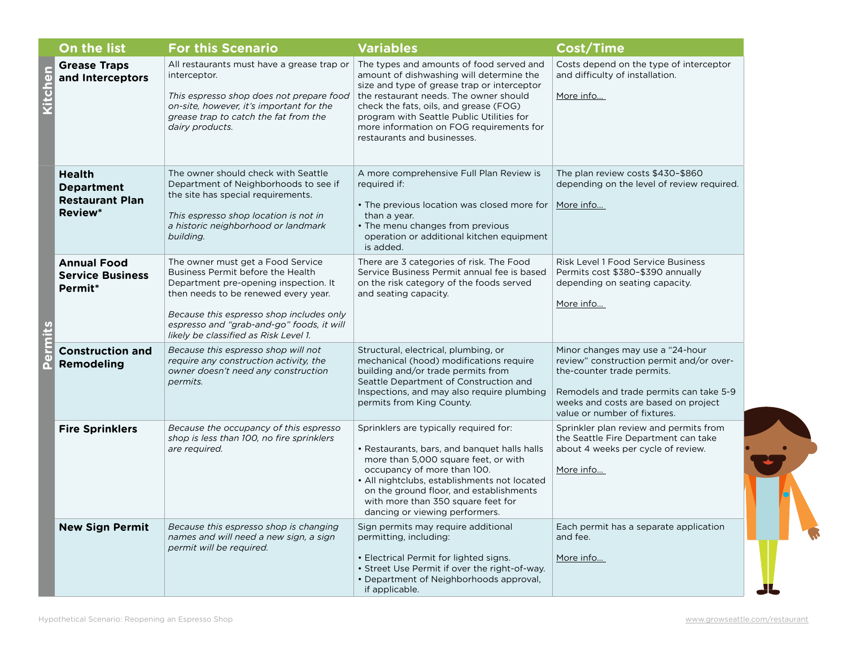|      | On the list                                                                    | <b>For this Scenario</b>                                                                                                                                                                                                                                                                  | <b>Variables</b>                                                                                                                                                                                                                                                                                                                                | <b>Cost/Time</b>                                                                                                                                                                                                              |
|------|--------------------------------------------------------------------------------|-------------------------------------------------------------------------------------------------------------------------------------------------------------------------------------------------------------------------------------------------------------------------------------------|-------------------------------------------------------------------------------------------------------------------------------------------------------------------------------------------------------------------------------------------------------------------------------------------------------------------------------------------------|-------------------------------------------------------------------------------------------------------------------------------------------------------------------------------------------------------------------------------|
| chen | <b>Grease Traps</b><br>and Interceptors                                        | All restaurants must have a grease trap or<br>interceptor.<br>This espresso shop does not prepare food<br>on-site, however, it's important for the<br>grease trap to catch the fat from the<br>dairy products.                                                                            | The types and amounts of food served and<br>amount of dishwashing will determine the<br>size and type of grease trap or interceptor<br>the restaurant needs. The owner should<br>check the fats, oils, and grease (FOG)<br>program with Seattle Public Utilities for<br>more information on FOG requirements for<br>restaurants and businesses. | Costs depend on the type of interceptor<br>and difficulty of installation.<br>More info                                                                                                                                       |
|      | <b>Health</b><br><b>Department</b><br><b>Restaurant Plan</b><br><b>Review*</b> | The owner should check with Seattle<br>Department of Neighborhoods to see if<br>the site has special requirements.<br>This espresso shop location is not in<br>a historic neighborhood or landmark<br>building.                                                                           | A more comprehensive Full Plan Review is<br>required if:<br>• The previous location was closed more for<br>than a year.<br>• The menu changes from previous<br>operation or additional kitchen equipment<br>is added.                                                                                                                           | The plan review costs \$430-\$860<br>depending on the level of review required.<br>More info                                                                                                                                  |
|      | <b>Annual Food</b><br><b>Service Business</b><br>Permit*                       | The owner must get a Food Service<br>Business Permit before the Health<br>Department pre-opening inspection. It<br>then needs to be renewed every year.<br>Because this espresso shop includes only<br>espresso and "grab-and-go" foods, it will<br>likely be classified as Risk Level 1. | There are 3 categories of risk. The Food<br>Service Business Permit annual fee is based<br>on the risk category of the foods served<br>and seating capacity.                                                                                                                                                                                    | Risk Level 1 Food Service Business<br>Permits cost \$380-\$390 annually<br>depending on seating capacity.<br>More info                                                                                                        |
|      | <b>Construction and</b><br><b>Remodeling</b>                                   | Because this espresso shop will not<br>require any construction activity, the<br>owner doesn't need any construction<br>permits.                                                                                                                                                          | Structural, electrical, plumbing, or<br>mechanical (hood) modifications require<br>building and/or trade permits from<br>Seattle Department of Construction and<br>Inspections, and may also require plumbing<br>permits from King County.                                                                                                      | Minor changes may use a "24-hour<br>review" construction permit and/or over-<br>the-counter trade permits.<br>Remodels and trade permits can take 5-9<br>weeks and costs are based on project<br>value or number of fixtures. |
|      | <b>Fire Sprinklers</b>                                                         | Because the occupancy of this espresso<br>shop is less than 100, no fire sprinklers<br>are required.                                                                                                                                                                                      | Sprinklers are typically required for:<br>• Restaurants, bars, and banquet halls halls<br>more than 5,000 square feet, or with<br>occupancy of more than 100.<br>• All nightclubs, establishments not located<br>on the ground floor, and establishments<br>with more than 350 square feet for<br>dancing or viewing performers.                | Sprinkler plan review and permits from<br>the Seattle Fire Department can take<br>about 4 weeks per cycle of review.<br>More info                                                                                             |
|      | <b>New Sign Permit</b>                                                         | Because this espresso shop is changing<br>names and will need a new sign, a sign<br>permit will be required.                                                                                                                                                                              | Sign permits may require additional<br>permitting, including:<br>• Electrical Permit for lighted signs.<br>• Street Use Permit if over the right-of-way.<br>• Department of Neighborhoods approval,<br>if applicable.                                                                                                                           | Each permit has a separate application<br>and fee.<br>More info                                                                                                                                                               |